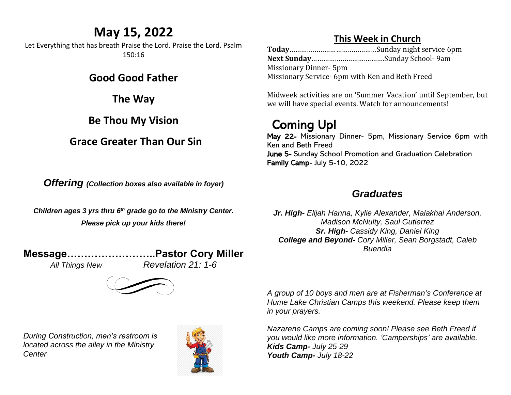## **May 15, 2022**

Let Everything that has breath Praise the Lord. Praise the Lord. Psalm 150:16

### **Good Good Father**

**The Way**

## **Be Thou My Vision**

## **Grace Greater Than Our Sin**

*Offering (Collection boxes also available in foyer)*

*Children ages 3 yrs thru 6 th grade go to the Ministry Center. Please pick up your kids there!*

**Message……………………..Pastor Cory Miller**

*All Things New Revelation 21: 1-6*

*During Construction, men's restroom is located across the alley in the Ministry Center*



## **This Week in Church**

**Today**………………………………………Sunday night service 6pm **Next Sunday**………………………….…….Sunday School- 9am Missionary Dinner- 5pm Missionary Service- 6pm with Ken and Beth Freed

Midweek activities are on 'Summer Vacation' until September, but we will have special events. Watch for announcements!

# Coming Up!

May 22- Missionary Dinner- 5pm, Missionary Service 6pm with Ken and Beth Freed June 5- Sunday School Promotion and Graduation Celebration Family Camp- July 5-10, 2022

## *Graduates*

*Jr. High- Elijah Hanna, Kylie Alexander, Malakhai Anderson, Madison McNulty, Saul Gutierrez Sr. High- Cassidy King, Daniel King College and Beyond- Cory Miller, Sean Borgstadt, Caleb Buendia*

*A group of 10 boys and men are at Fisherman's Conference at Hume Lake Christian Camps this weekend. Please keep them in your prayers.* 

*Nazarene Camps are coming soon! Please see Beth Freed if you would like more information. 'Camperships' are available. Kids Camp- July 25-29 Youth Camp- July 18-22*